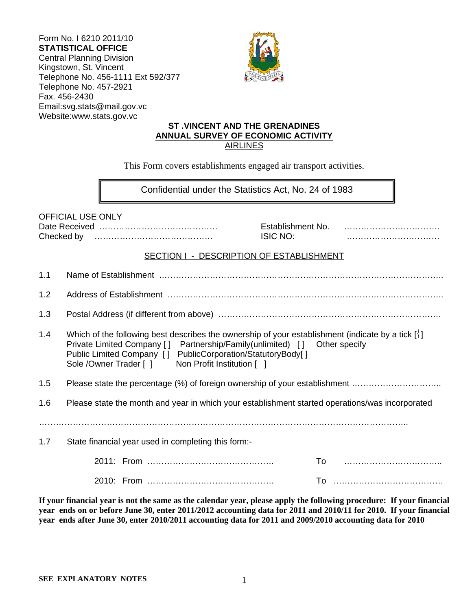| Form No. I 6210 2011/10            |
|------------------------------------|
| <b>STATISTICAL OFFICE</b>          |
| <b>Central Planning Division</b>   |
| Kingstown, St. Vincent             |
| Telephone No. 456-1111 Ext 592/377 |
| Telephone No. 457-2921             |
| Fax. 456-2430                      |
| Email:svg.stats@mail.gov.vc        |
| Website:www.stats.gov.vc           |



### **ST .VINCENT AND THE GRENADINES ANNUAL SURVEY OF ECONOMIC ACTIVITY**  AIRLINES

This Form covers establishments engaged air transport activities.

 $\overline{a}$ Confidential under the Statistics Act, No. 24 of 1983

OFFICIAL USE ONLY

Date Received …………………………………… Establishment No. ……………………………. Checked by …………………………………… ISIC NO: ……………………………

#### SECTION I - DESCRIPTION OF ESTABLISHMENT

| 1.1 |                                                                                                                                                                                                                                                                                                                      |
|-----|----------------------------------------------------------------------------------------------------------------------------------------------------------------------------------------------------------------------------------------------------------------------------------------------------------------------|
| 1.2 |                                                                                                                                                                                                                                                                                                                      |
| 1.3 |                                                                                                                                                                                                                                                                                                                      |
| 1.4 | Which of the following best describes the ownership of your establishment (indicate by a tick $\lceil \cdot \rceil$ )<br>Private Limited Company [] Partnership/Family(unlimited) [] Other specify<br>Public Limited Company [] PublicCorporation/StatutoryBody[]<br>Sole /Owner Trader [] Non Profit Institution [] |
| 1.5 | Please state the percentage (%) of foreign ownership of your establishment                                                                                                                                                                                                                                           |
| 1.6 | Please state the month and year in which your establishment started operations/was incorporated                                                                                                                                                                                                                      |
| 1.7 | State financial year used in completing this form:-                                                                                                                                                                                                                                                                  |
|     |                                                                                                                                                                                                                                                                                                                      |
|     |                                                                                                                                                                                                                                                                                                                      |

**If your financial year is not the same as the calendar year, please apply the following procedure: If your financial year ends on or before June 30, enter 2011/2012 accounting data for 2011 and 2010/11 for 2010. If your financial year ends after June 30, enter 2010/2011 accounting data for 2011 and 2009/2010 accounting data for 2010**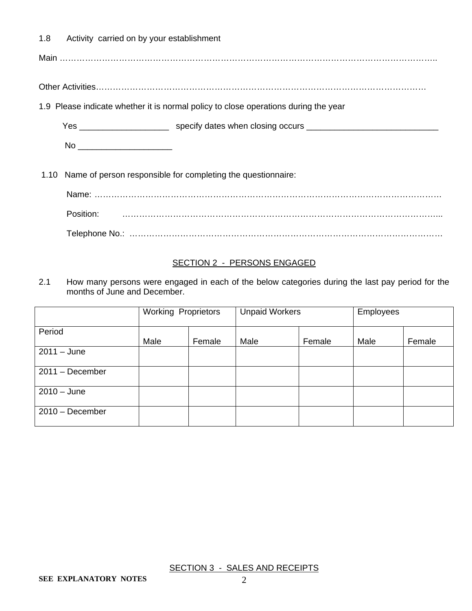1.8 Activity carried on by your establishment

Main ……………………………………………………………………………………………………………………..

Other Activities………………………………………………………………………………………………………

1.9 Please indicate whether it is normal policy to close operations during the year

Yes \_\_\_\_\_\_\_\_\_\_\_\_\_\_\_\_\_\_\_\_\_\_\_\_\_\_\_ specify dates when closing occurs \_\_\_\_\_\_\_\_\_\_\_\_\_\_\_\_\_\_\_\_\_\_\_\_\_\_\_\_\_\_\_\_\_

No \_\_\_\_\_\_\_\_\_\_\_\_\_\_\_\_\_\_\_\_

1.10 Name of person responsible for completing the questionnaire:

Name: …………………………………………………………………………………………………………… Position: …………………………………………………………………………………………………...

Telephone No.: …………………………………………………………………………………………………

#### SECTION 2 - PERSONS ENGAGED

2.1 How many persons were engaged in each of the below categories during the last pay period for the months of June and December.

|                   | <b>Working Proprietors</b> |        | <b>Unpaid Workers</b> |        | Employees |        |
|-------------------|----------------------------|--------|-----------------------|--------|-----------|--------|
| Period            | Male                       | Female | Male                  | Female | Male      | Female |
| $2011 - June$     |                            |        |                       |        |           |        |
| $2011 - December$ |                            |        |                       |        |           |        |
| $2010 - June$     |                            |        |                       |        |           |        |
| $2010 - December$ |                            |        |                       |        |           |        |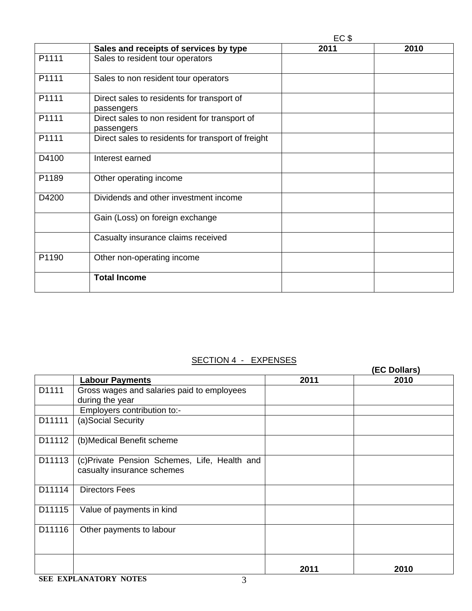|       | EC \$                                                       |      |      |
|-------|-------------------------------------------------------------|------|------|
|       | Sales and receipts of services by type                      | 2011 | 2010 |
| P1111 | Sales to resident tour operators                            |      |      |
| P1111 | Sales to non resident tour operators                        |      |      |
| P1111 | Direct sales to residents for transport of<br>passengers    |      |      |
| P1111 | Direct sales to non resident for transport of<br>passengers |      |      |
| P1111 | Direct sales to residents for transport of freight          |      |      |
| D4100 | Interest earned                                             |      |      |
| P1189 | Other operating income                                      |      |      |
| D4200 | Dividends and other investment income                       |      |      |
|       | Gain (Loss) on foreign exchange                             |      |      |
|       | Casualty insurance claims received                          |      |      |
| P1190 | Other non-operating income                                  |      |      |
|       | <b>Total Income</b>                                         |      |      |
|       |                                                             |      |      |

# SECTION 4 - EXPENSES

|        |                                                                            | _________ | (EC Dollars) |
|--------|----------------------------------------------------------------------------|-----------|--------------|
|        | <b>Labour Payments</b>                                                     | 2011      | 2010         |
| D1111  | Gross wages and salaries paid to employees<br>during the year              |           |              |
|        | Employers contribution to:-                                                |           |              |
| D11111 | (a)Social Security                                                         |           |              |
| D11112 | (b) Medical Benefit scheme                                                 |           |              |
| D11113 | (c)Private Pension Schemes, Life, Health and<br>casualty insurance schemes |           |              |
| D11114 | <b>Directors Fees</b>                                                      |           |              |
| D11115 | Value of payments in kind                                                  |           |              |
| D11116 | Other payments to labour                                                   |           |              |
|        |                                                                            | 2011      | 2010         |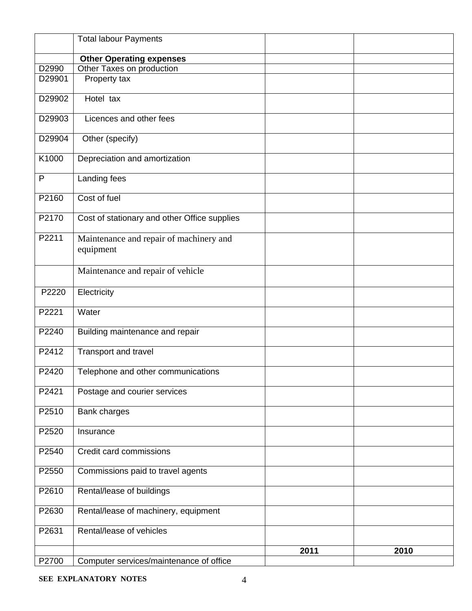|        | <b>Total labour Payments</b>                         |      |      |
|--------|------------------------------------------------------|------|------|
|        | <b>Other Operating expenses</b>                      |      |      |
| D2990  | Other Taxes on production                            |      |      |
| D29901 | Property tax                                         |      |      |
| D29902 | Hotel tax                                            |      |      |
| D29903 | Licences and other fees                              |      |      |
| D29904 | Other (specify)                                      |      |      |
| K1000  | Depreciation and amortization                        |      |      |
| P      | Landing fees                                         |      |      |
| P2160  | Cost of fuel                                         |      |      |
| P2170  | Cost of stationary and other Office supplies         |      |      |
| P2211  | Maintenance and repair of machinery and<br>equipment |      |      |
|        | Maintenance and repair of vehicle                    |      |      |
| P2220  | Electricity                                          |      |      |
| P2221  | Water                                                |      |      |
| P2240  | Building maintenance and repair                      |      |      |
| P2412  | Transport and travel                                 |      |      |
| P2420  | Telephone and other communications                   |      |      |
| P2421  | Postage and courier services                         |      |      |
| P2510  | Bank charges                                         |      |      |
| P2520  | Insurance                                            |      |      |
| P2540  | Credit card commissions                              |      |      |
| P2550  | Commissions paid to travel agents                    |      |      |
| P2610  | Rental/lease of buildings                            |      |      |
| P2630  | Rental/lease of machinery, equipment                 |      |      |
| P2631  | Rental/lease of vehicles                             |      |      |
|        |                                                      | 2011 | 2010 |
| P2700  | Computer services/maintenance of office              |      |      |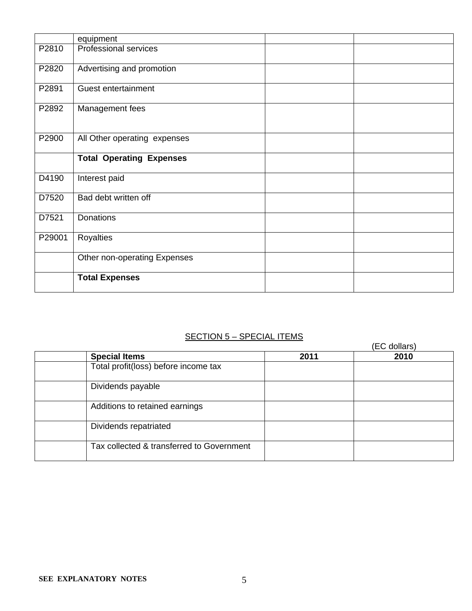|        | equipment                       |  |
|--------|---------------------------------|--|
| P2810  | Professional services           |  |
| P2820  | Advertising and promotion       |  |
| P2891  | Guest entertainment             |  |
| P2892  | Management fees                 |  |
| P2900  | All Other operating expenses    |  |
|        | <b>Total Operating Expenses</b> |  |
| D4190  | Interest paid                   |  |
| D7520  | Bad debt written off            |  |
| D7521  | Donations                       |  |
| P29001 | Royalties                       |  |
|        | Other non-operating Expenses    |  |
|        | <b>Total Expenses</b>           |  |

# SECTION 5 - SPECIAL ITEMS

|                                           |      | (EC dollars) |
|-------------------------------------------|------|--------------|
| <b>Special Items</b>                      | 2011 | 2010         |
| Total profit(loss) before income tax      |      |              |
| Dividends payable                         |      |              |
| Additions to retained earnings            |      |              |
| Dividends repatriated                     |      |              |
| Tax collected & transferred to Government |      |              |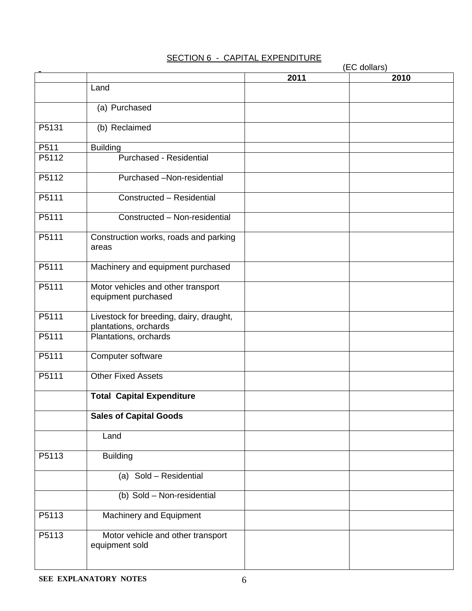### SECTION 6 - CAPITAL EXPENDITURE

|       | (EC dollars)                                                     |      |      |
|-------|------------------------------------------------------------------|------|------|
|       |                                                                  | 2011 | 2010 |
|       | Land                                                             |      |      |
|       | (a) Purchased                                                    |      |      |
| P5131 | (b) Reclaimed                                                    |      |      |
| P511  | <b>Building</b>                                                  |      |      |
| P5112 | Purchased - Residential                                          |      |      |
| P5112 | Purchased -Non-residential                                       |      |      |
| P5111 | Constructed - Residential                                        |      |      |
| P5111 | Constructed - Non-residential                                    |      |      |
| P5111 | Construction works, roads and parking<br>areas                   |      |      |
| P5111 | Machinery and equipment purchased                                |      |      |
| P5111 | Motor vehicles and other transport<br>equipment purchased        |      |      |
| P5111 | Livestock for breeding, dairy, draught,<br>plantations, orchards |      |      |
| P5111 | Plantations, orchards                                            |      |      |
| P5111 | Computer software                                                |      |      |
| P5111 | <b>Other Fixed Assets</b>                                        |      |      |
|       | <b>Total Capital Expenditure</b>                                 |      |      |
|       | <b>Sales of Capital Goods</b>                                    |      |      |
|       | Land                                                             |      |      |
| P5113 | <b>Building</b>                                                  |      |      |
|       | (a) Sold - Residential                                           |      |      |
|       | (b) Sold - Non-residential                                       |      |      |
| P5113 | Machinery and Equipment                                          |      |      |
| P5113 | Motor vehicle and other transport<br>equipment sold              |      |      |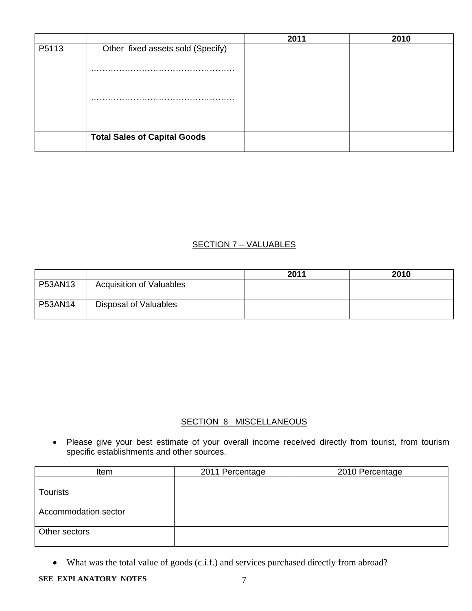|       |                                     | 2011 | 2010 |
|-------|-------------------------------------|------|------|
| P5113 | Other fixed assets sold (Specify)   |      |      |
|       |                                     |      |      |
|       |                                     |      |      |
|       |                                     |      |      |
|       | <b>Total Sales of Capital Goods</b> |      |      |

### SECTION 7 – VALUABLES

|         |                                 | 2011 | 2010 |
|---------|---------------------------------|------|------|
| P53AN13 | <b>Acquisition of Valuables</b> |      |      |
| P53AN14 | Disposal of Valuables           |      |      |

## SECTION 8 MISCELLANEOUS

 Please give your best estimate of your overall income received directly from tourist, from tourism specific establishments and other sources.

| Item                 | 2011 Percentage | 2010 Percentage |
|----------------------|-----------------|-----------------|
|                      |                 |                 |
| <b>Tourists</b>      |                 |                 |
|                      |                 |                 |
| Accommodation sector |                 |                 |
|                      |                 |                 |
| Other sectors        |                 |                 |
|                      |                 |                 |

What was the total value of goods (c.i.f.) and services purchased directly from abroad?

**SEE EXPLANATORY NOTES** 7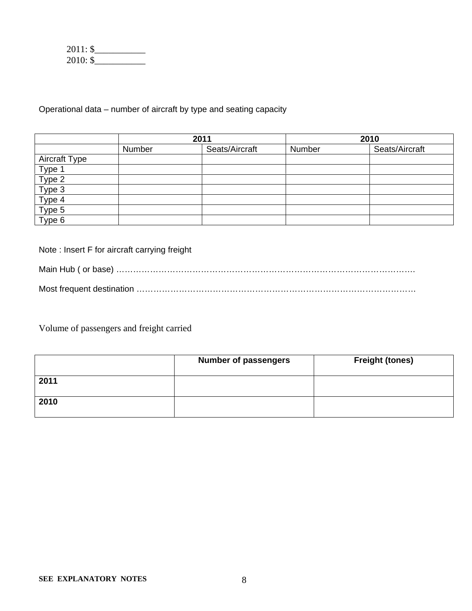| $2011:$ \$ |  |
|------------|--|
| $2010:$ \$ |  |

Operational data – number of aircraft by type and seating capacity

|                            | 2011   |                | 2010   |                |
|----------------------------|--------|----------------|--------|----------------|
|                            | Number | Seats/Aircraft | Number | Seats/Aircraft |
| Aircraft Type              |        |                |        |                |
| Type 1<br>Type 2<br>Type 3 |        |                |        |                |
|                            |        |                |        |                |
|                            |        |                |        |                |
| Type 4                     |        |                |        |                |
| Type 5                     |        |                |        |                |
| Type 6                     |        |                |        |                |

Note : Insert F for aircraft carrying freight

Main Hub ( or base) ……………………………………………………………………………………………. Most frequent destination ………………………………………………………………………………………

Volume of passengers and freight carried

|      | <b>Number of passengers</b> | <b>Freight (tones)</b> |
|------|-----------------------------|------------------------|
| 2011 |                             |                        |
| 2010 |                             |                        |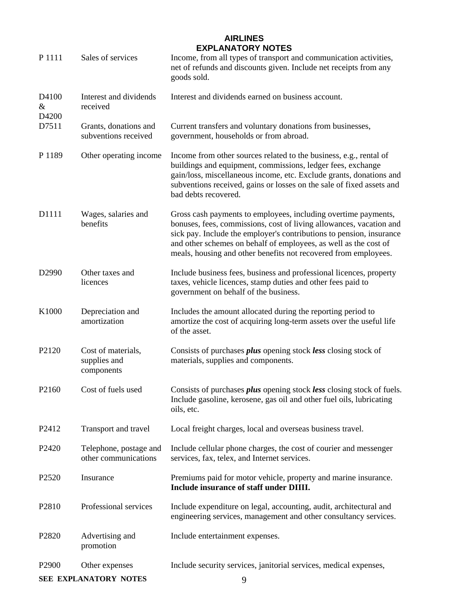### **AIRLINES EXPLANATORY NOTES**

| P 1111              | Sales of services                                | Income, from all types of transport and communication activities,<br>net of refunds and discounts given. Include net receipts from any<br>goods sold.                                                                                                                                                                                                |
|---------------------|--------------------------------------------------|------------------------------------------------------------------------------------------------------------------------------------------------------------------------------------------------------------------------------------------------------------------------------------------------------------------------------------------------------|
| D4100<br>&<br>D4200 | Interest and dividends<br>received               | Interest and dividends earned on business account.                                                                                                                                                                                                                                                                                                   |
| D7511               | Grants, donations and<br>subventions received    | Current transfers and voluntary donations from businesses,<br>government, households or from abroad.                                                                                                                                                                                                                                                 |
| P 1189              | Other operating income                           | Income from other sources related to the business, e.g., rental of<br>buildings and equipment, commissions, ledger fees, exchange<br>gain/loss, miscellaneous income, etc. Exclude grants, donations and<br>subventions received, gains or losses on the sale of fixed assets and<br>bad debts recovered.                                            |
| D1111               | Wages, salaries and<br>benefits                  | Gross cash payments to employees, including overtime payments,<br>bonuses, fees, commissions, cost of living allowances, vacation and<br>sick pay. Include the employer's contributions to pension, insurance<br>and other schemes on behalf of employees, as well as the cost of<br>meals, housing and other benefits not recovered from employees. |
| D2990               | Other taxes and<br>licences                      | Include business fees, business and professional licences, property<br>taxes, vehicle licences, stamp duties and other fees paid to<br>government on behalf of the business.                                                                                                                                                                         |
| K1000               | Depreciation and<br>amortization                 | Includes the amount allocated during the reporting period to<br>amortize the cost of acquiring long-term assets over the useful life<br>of the asset.                                                                                                                                                                                                |
| P2120               | Cost of materials,<br>supplies and<br>components | Consists of purchases <i>plus</i> opening stock less closing stock of<br>materials, supplies and components.                                                                                                                                                                                                                                         |
| P2160               | Cost of fuels used                               | Consists of purchases <i>plus</i> opening stock less closing stock of fuels.<br>Include gasoline, kerosene, gas oil and other fuel oils, lubricating<br>oils, etc.                                                                                                                                                                                   |
| P <sub>2412</sub>   | Transport and travel                             | Local freight charges, local and overseas business travel.                                                                                                                                                                                                                                                                                           |
| P2420               | Telephone, postage and<br>other communications   | Include cellular phone charges, the cost of courier and messenger<br>services, fax, telex, and Internet services.                                                                                                                                                                                                                                    |
| P2520               | Insurance                                        | Premiums paid for motor vehicle, property and marine insurance.<br>Include insurance of staff under DIIII.                                                                                                                                                                                                                                           |
| P2810               | Professional services                            | Include expenditure on legal, accounting, audit, architectural and<br>engineering services, management and other consultancy services.                                                                                                                                                                                                               |
| P2820               | Advertising and<br>promotion                     | Include entertainment expenses.                                                                                                                                                                                                                                                                                                                      |
| P <sub>2900</sub>   | Other expenses                                   | Include security services, janitorial services, medical expenses,                                                                                                                                                                                                                                                                                    |

**SEE EXPLANATORY NOTES** 9